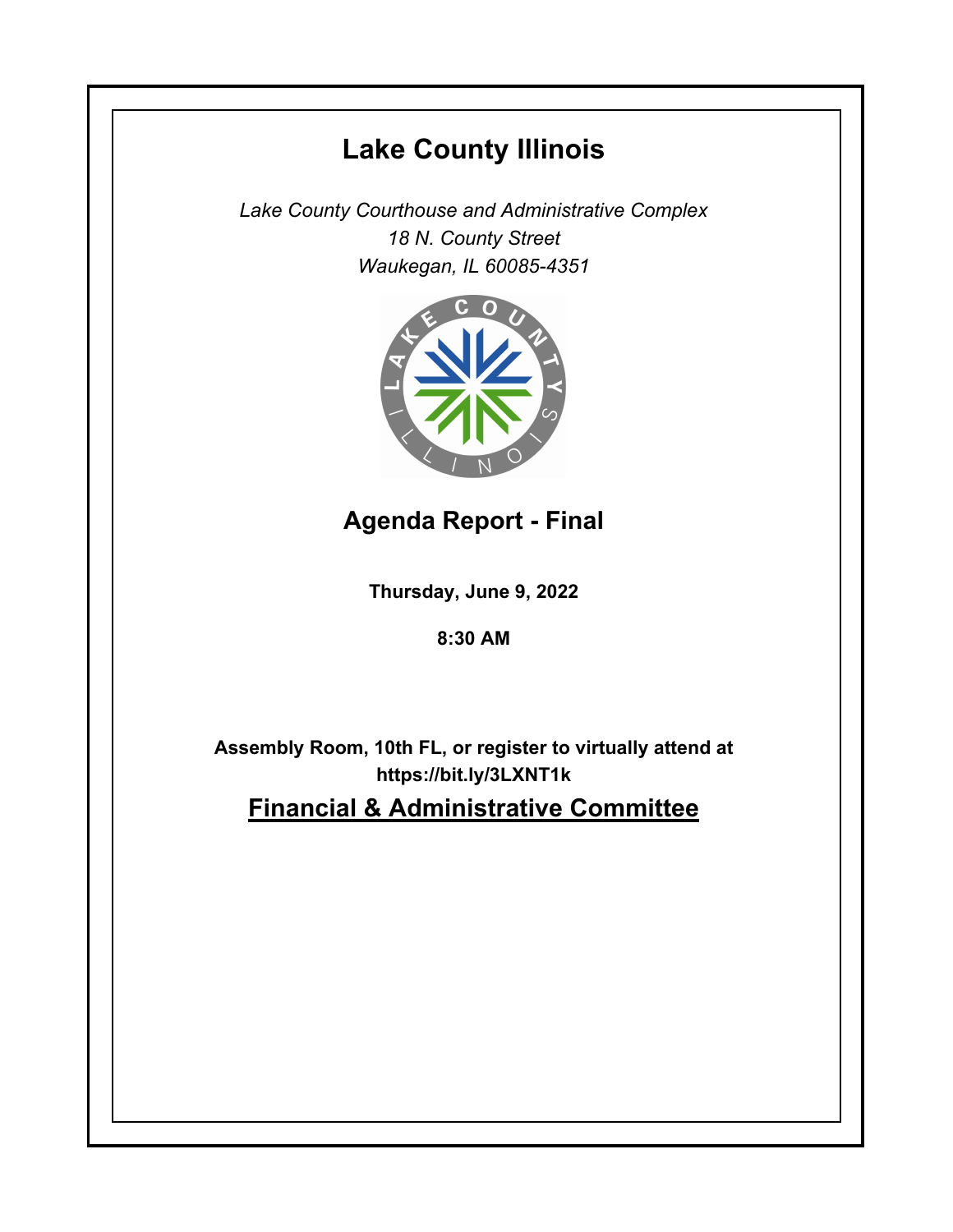# **Lake County Illinois**

*Lake County Courthouse and Administrative Complex 18 N. County Street Waukegan, IL 60085-4351*



**Agenda Report - Final**

**Thursday, June 9, 2022**

**8:30 AM**

**Assembly Room, 10th FL, or register to virtually attend at https://bit.ly/3LXNT1k Financial & Administrative Committee**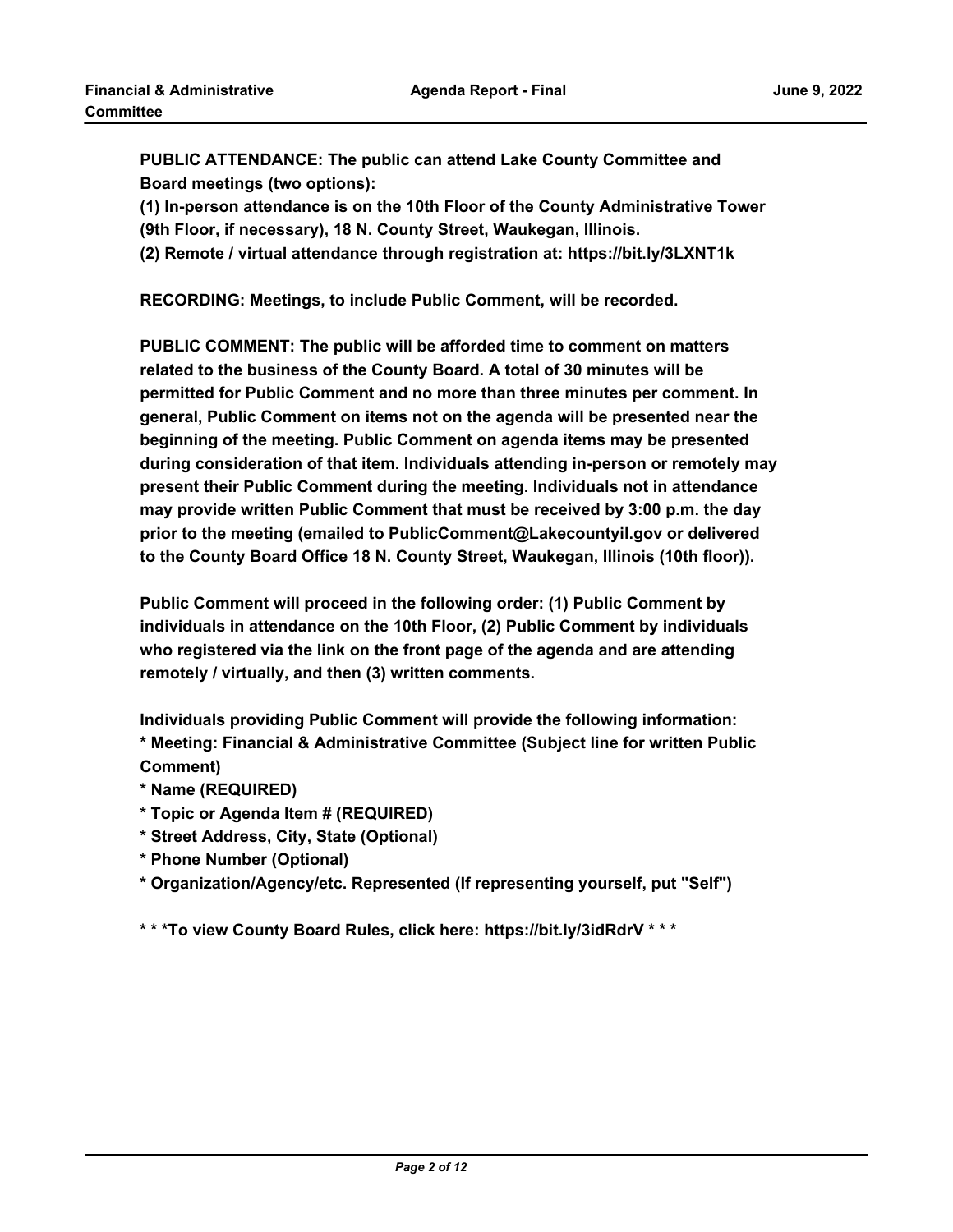**PUBLIC ATTENDANCE: The public can attend Lake County Committee and Board meetings (two options):** 

**(1) In-person attendance is on the 10th Floor of the County Administrative Tower (9th Floor, if necessary), 18 N. County Street, Waukegan, Illinois.**

**(2) Remote / virtual attendance through registration at: https://bit.ly/3LXNT1k**

**RECORDING: Meetings, to include Public Comment, will be recorded.**

**PUBLIC COMMENT: The public will be afforded time to comment on matters related to the business of the County Board. A total of 30 minutes will be permitted for Public Comment and no more than three minutes per comment. In general, Public Comment on items not on the agenda will be presented near the beginning of the meeting. Public Comment on agenda items may be presented during consideration of that item. Individuals attending in-person or remotely may present their Public Comment during the meeting. Individuals not in attendance may provide written Public Comment that must be received by 3:00 p.m. the day prior to the meeting (emailed to PublicComment@Lakecountyil.gov or delivered to the County Board Office 18 N. County Street, Waukegan, Illinois (10th floor)).** 

**Public Comment will proceed in the following order: (1) Public Comment by individuals in attendance on the 10th Floor, (2) Public Comment by individuals who registered via the link on the front page of the agenda and are attending remotely / virtually, and then (3) written comments.** 

**Individuals providing Public Comment will provide the following information: \* Meeting: Financial & Administrative Committee (Subject line for written Public Comment)**

- **\* Name (REQUIRED)**
- **\* Topic or Agenda Item # (REQUIRED)**
- **\* Street Address, City, State (Optional)**
- **\* Phone Number (Optional)**
- **\* Organization/Agency/etc. Represented (If representing yourself, put "Self")**

**\* \* \*To view County Board Rules, click here: https://bit.ly/3idRdrV \* \* \***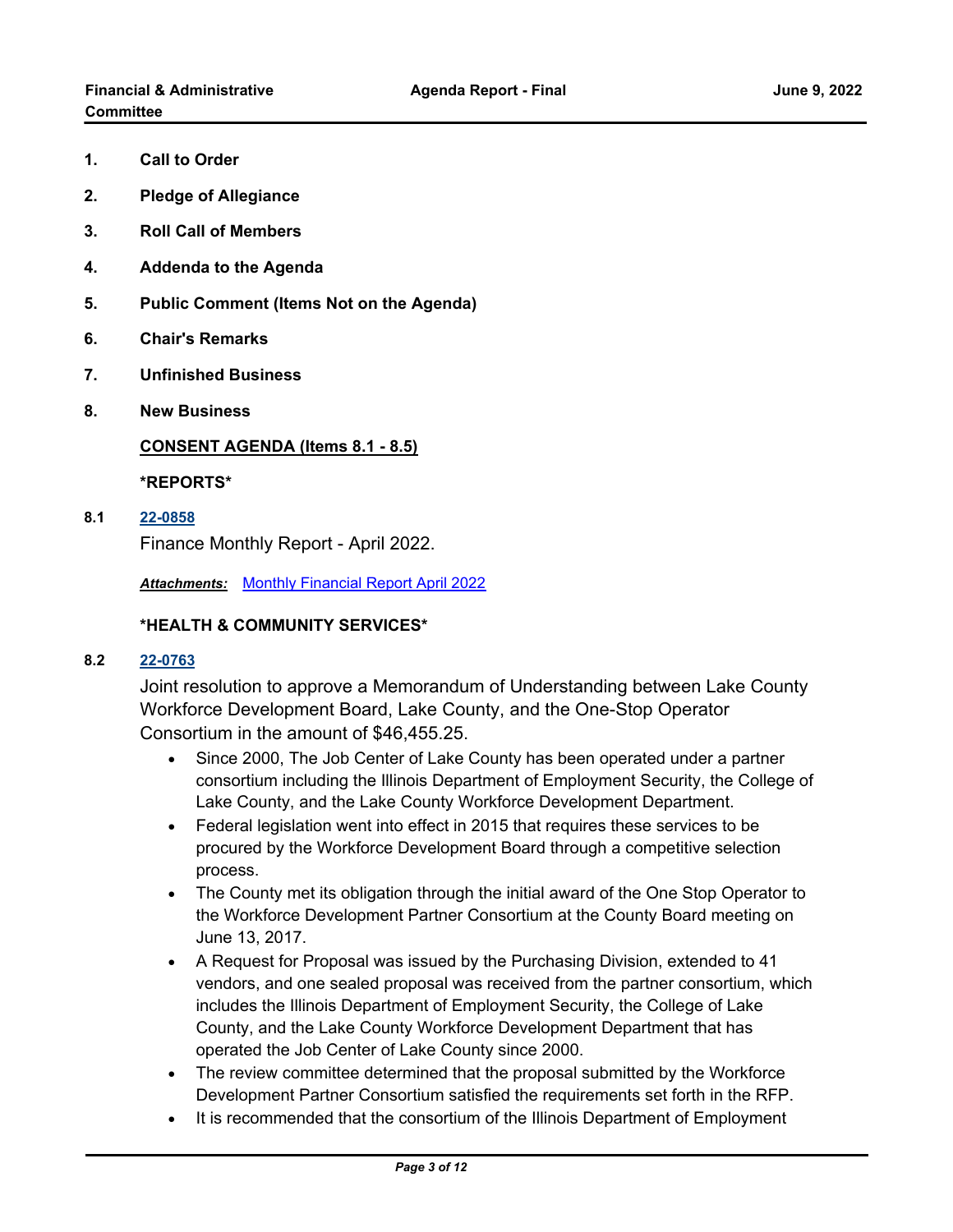- **1. Call to Order**
- **2. Pledge of Allegiance**
- **3. Roll Call of Members**
- **4. Addenda to the Agenda**
- **5. Public Comment (Items Not on the Agenda)**
- **6. Chair's Remarks**
- **7. Unfinished Business**
- **8. New Business**

## **CONSENT AGENDA (Items 8.1 - 8.5)**

**\*REPORTS\***

**8.1 [22-0858](http://lakecounty.legistar.com/gateway.aspx?m=l&id=/matter.aspx?key=26644)**

Finance Monthly Report - April 2022.

*Attachments:* [Monthly Financial Report April 2022](http://lakecounty.legistar.com/gateway.aspx?M=F&ID=6299977c-ef4f-4c03-8a2b-0df4542ee7f1.pdf)

## **\*HEALTH & COMMUNITY SERVICES\***

# **8.2 [22-0763](http://lakecounty.legistar.com/gateway.aspx?m=l&id=/matter.aspx?key=26549)**

Joint resolution to approve a Memorandum of Understanding between Lake County Workforce Development Board, Lake County, and the One-Stop Operator Consortium in the amount of \$46,455.25.

- · Since 2000, The Job Center of Lake County has been operated under a partner consortium including the Illinois Department of Employment Security, the College of Lake County, and the Lake County Workforce Development Department.
- · Federal legislation went into effect in 2015 that requires these services to be procured by the Workforce Development Board through a competitive selection process.
- · The County met its obligation through the initial award of the One Stop Operator to the Workforce Development Partner Consortium at the County Board meeting on June 13, 2017.
- · A Request for Proposal was issued by the Purchasing Division, extended to 41 vendors, and one sealed proposal was received from the partner consortium, which includes the Illinois Department of Employment Security, the College of Lake County, and the Lake County Workforce Development Department that has operated the Job Center of Lake County since 2000.
- · The review committee determined that the proposal submitted by the Workforce Development Partner Consortium satisfied the requirements set forth in the RFP.
- · It is recommended that the consortium of the Illinois Department of Employment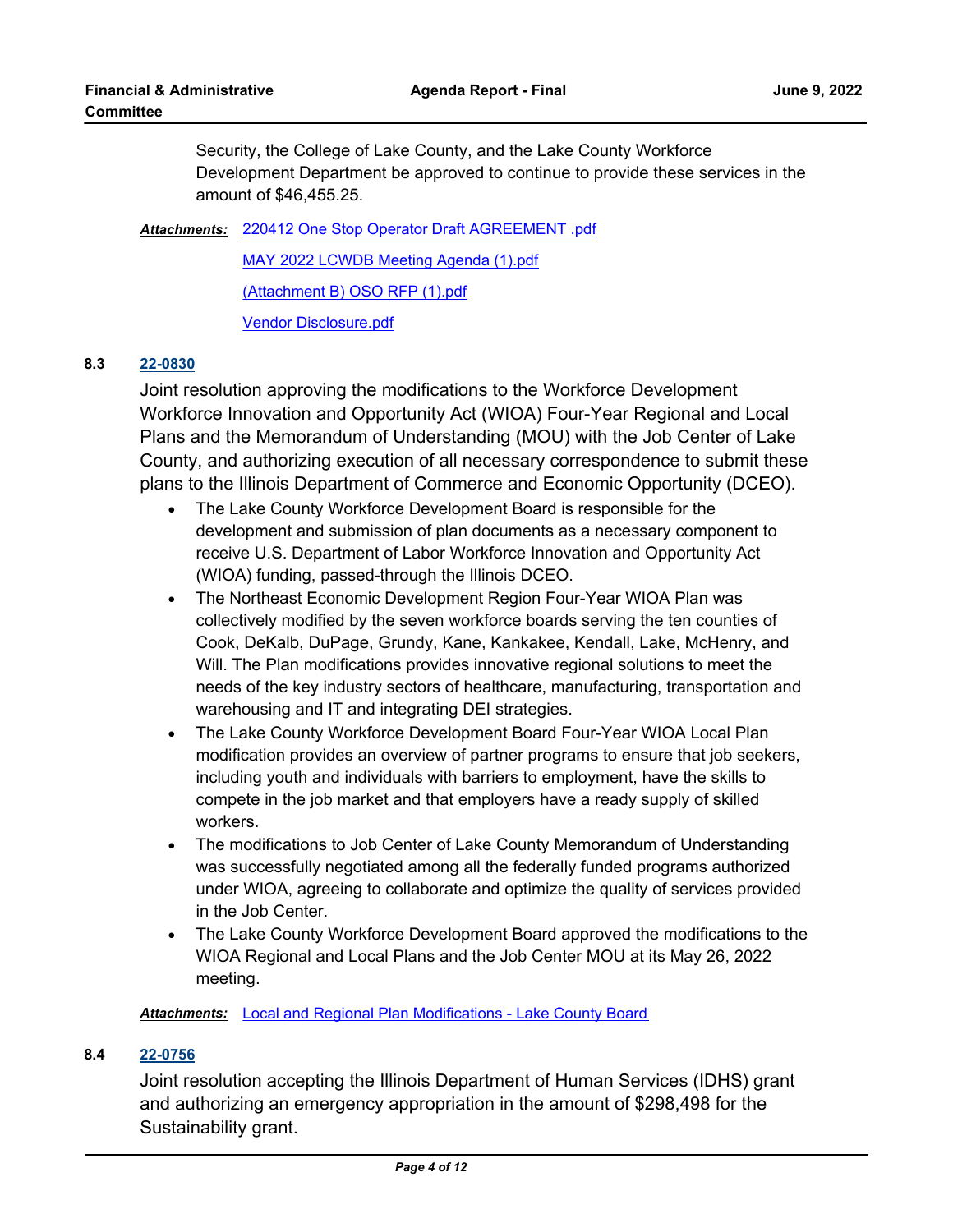Security, the College of Lake County, and the Lake County Workforce Development Department be approved to continue to provide these services in the amount of \$46,455.25.

[220412 One Stop Operator Draft AGREEMENT .pdf](http://lakecounty.legistar.com/gateway.aspx?M=F&ID=d4872bfd-bad0-4c66-8fce-1e7ffba51da0.pdf) *Attachments:* [MAY 2022 LCWDB Meeting Agenda \(1\).pdf](http://lakecounty.legistar.com/gateway.aspx?M=F&ID=6622b34c-f2e7-4182-b2ad-a19f8c1d80f8.pdf)

[\(Attachment B\) OSO RFP \(1\).pdf](http://lakecounty.legistar.com/gateway.aspx?M=F&ID=985f6b37-7409-45f6-b4c0-b9df26dc5d63.pdf)

[Vendor Disclosure.pdf](http://lakecounty.legistar.com/gateway.aspx?M=F&ID=14135314-baa1-49d2-a404-5eea9403a117.pdf)

# **8.3 [22-0830](http://lakecounty.legistar.com/gateway.aspx?m=l&id=/matter.aspx?key=26615)**

Joint resolution approving the modifications to the Workforce Development Workforce Innovation and Opportunity Act (WIOA) Four-Year Regional and Local Plans and the Memorandum of Understanding (MOU) with the Job Center of Lake County, and authorizing execution of all necessary correspondence to submit these plans to the Illinois Department of Commerce and Economic Opportunity (DCEO).

- · The Lake County Workforce Development Board is responsible for the development and submission of plan documents as a necessary component to receive U.S. Department of Labor Workforce Innovation and Opportunity Act (WIOA) funding, passed-through the Illinois DCEO.
- · The Northeast Economic Development Region Four-Year WIOA Plan was collectively modified by the seven workforce boards serving the ten counties of Cook, DeKalb, DuPage, Grundy, Kane, Kankakee, Kendall, Lake, McHenry, and Will. The Plan modifications provides innovative regional solutions to meet the needs of the key industry sectors of healthcare, manufacturing, transportation and warehousing and IT and integrating DEI strategies.
- · The Lake County Workforce Development Board Four-Year WIOA Local Plan modification provides an overview of partner programs to ensure that job seekers, including youth and individuals with barriers to employment, have the skills to compete in the job market and that employers have a ready supply of skilled workers.
- · The modifications to Job Center of Lake County Memorandum of Understanding was successfully negotiated among all the federally funded programs authorized under WIOA, agreeing to collaborate and optimize the quality of services provided in the Job Center.
- · The Lake County Workforce Development Board approved the modifications to the WIOA Regional and Local Plans and the Job Center MOU at its May 26, 2022 meeting.

*Attachments:* [Local and Regional Plan Modifications - Lake County Board](http://lakecounty.legistar.com/gateway.aspx?M=F&ID=a762268c-3af6-428c-8e0a-ece347545988.pdf)

# **8.4 [22-0756](http://lakecounty.legistar.com/gateway.aspx?m=l&id=/matter.aspx?key=26543)**

Joint resolution accepting the Illinois Department of Human Services (IDHS) grant and authorizing an emergency appropriation in the amount of \$298,498 for the Sustainability grant.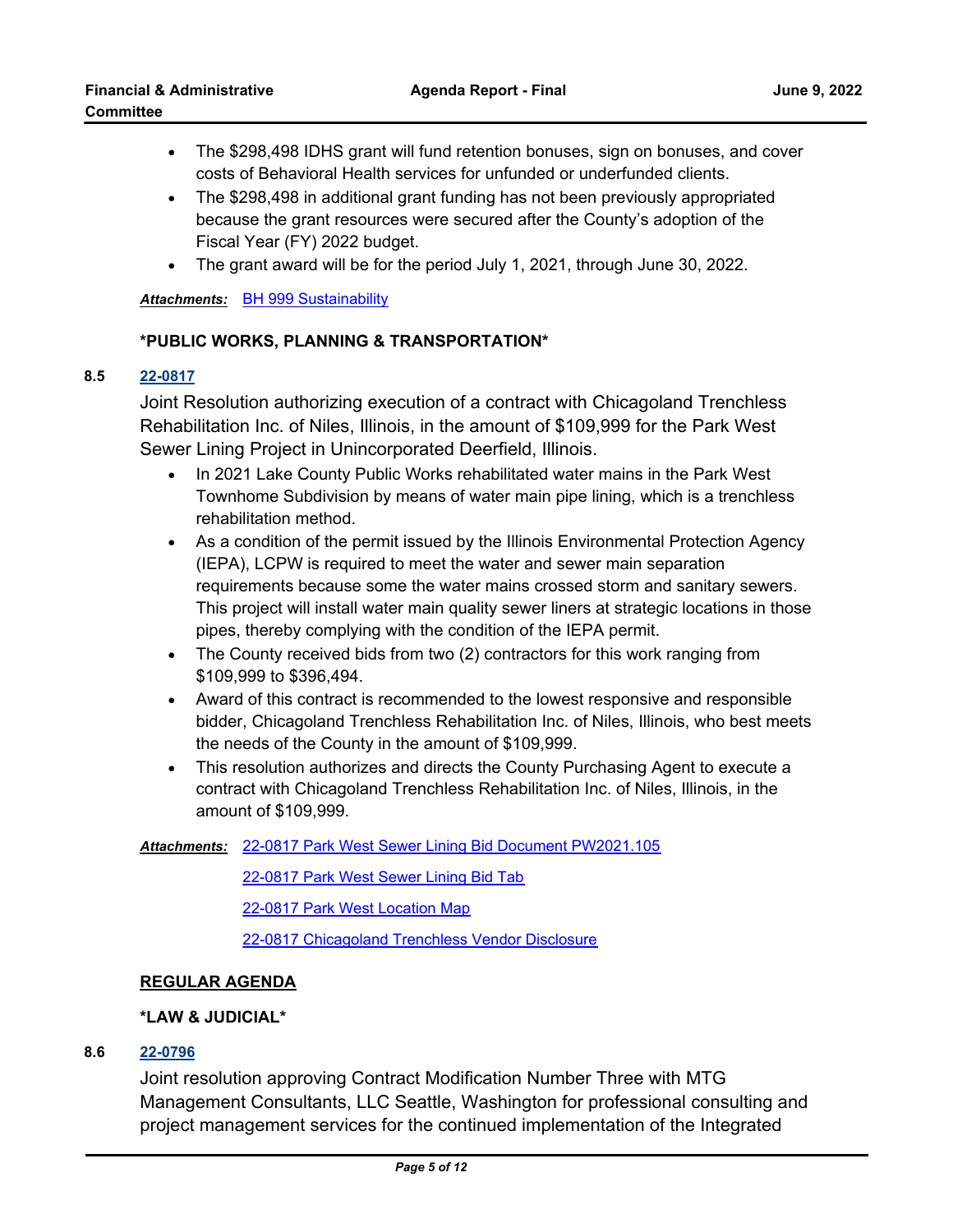- · The \$298,498 IDHS grant will fund retention bonuses, sign on bonuses, and cover costs of Behavioral Health services for unfunded or underfunded clients.
- · The \$298,498 in additional grant funding has not been previously appropriated because the grant resources were secured after the County's adoption of the Fiscal Year (FY) 2022 budget.
- · The grant award will be for the period July 1, 2021, through June 30, 2022.

*Attachments:* [BH 999 Sustainability](http://lakecounty.legistar.com/gateway.aspx?M=F&ID=09dc0aa8-73b3-4b89-a606-bd36ec62e344.pdf)

# **\*PUBLIC WORKS, PLANNING & TRANSPORTATION\***

## **8.5 [22-0817](http://lakecounty.legistar.com/gateway.aspx?m=l&id=/matter.aspx?key=26603)**

Joint Resolution authorizing execution of a contract with Chicagoland Trenchless Rehabilitation Inc. of Niles, Illinois, in the amount of \$109,999 for the Park West Sewer Lining Project in Unincorporated Deerfield, Illinois.

- · In 2021 Lake County Public Works rehabilitated water mains in the Park West Townhome Subdivision by means of water main pipe lining, which is a trenchless rehabilitation method.
- · As a condition of the permit issued by the Illinois Environmental Protection Agency (IEPA), LCPW is required to meet the water and sewer main separation requirements because some the water mains crossed storm and sanitary sewers. This project will install water main quality sewer liners at strategic locations in those pipes, thereby complying with the condition of the IEPA permit.
- · The County received bids from two (2) contractors for this work ranging from \$109,999 to \$396,494.
- · Award of this contract is recommended to the lowest responsive and responsible bidder, Chicagoland Trenchless Rehabilitation Inc. of Niles, Illinois, who best meets the needs of the County in the amount of \$109,999.
- · This resolution authorizes and directs the County Purchasing Agent to execute a contract with Chicagoland Trenchless Rehabilitation Inc. of Niles, Illinois, in the amount of \$109,999.

[22-0817 Park West Sewer Lining Bid Document PW2021.105](http://lakecounty.legistar.com/gateway.aspx?M=F&ID=f49541e2-9db6-4bbe-bc90-1249e815b731.pdf) *Attachments:*

[22-0817 Park West Sewer Lining Bid Tab](http://lakecounty.legistar.com/gateway.aspx?M=F&ID=c0a75fb6-045c-4e4c-91e5-b2e27800d26f.pdf)

[22-0817 Park West Location Map](http://lakecounty.legistar.com/gateway.aspx?M=F&ID=d6746738-ca21-4982-a13e-78374ed0af22.pdf)

[22-0817 Chicagoland Trenchless Vendor Disclosure](http://lakecounty.legistar.com/gateway.aspx?M=F&ID=ec47d11a-b6bc-4d8e-93fc-110d08492576.pdf)

# **REGULAR AGENDA**

# **\*LAW & JUDICIAL\***

# **8.6 [22-0796](http://lakecounty.legistar.com/gateway.aspx?m=l&id=/matter.aspx?key=26582)**

Joint resolution approving Contract Modification Number Three with MTG Management Consultants, LLC Seattle, Washington for professional consulting and project management services for the continued implementation of the Integrated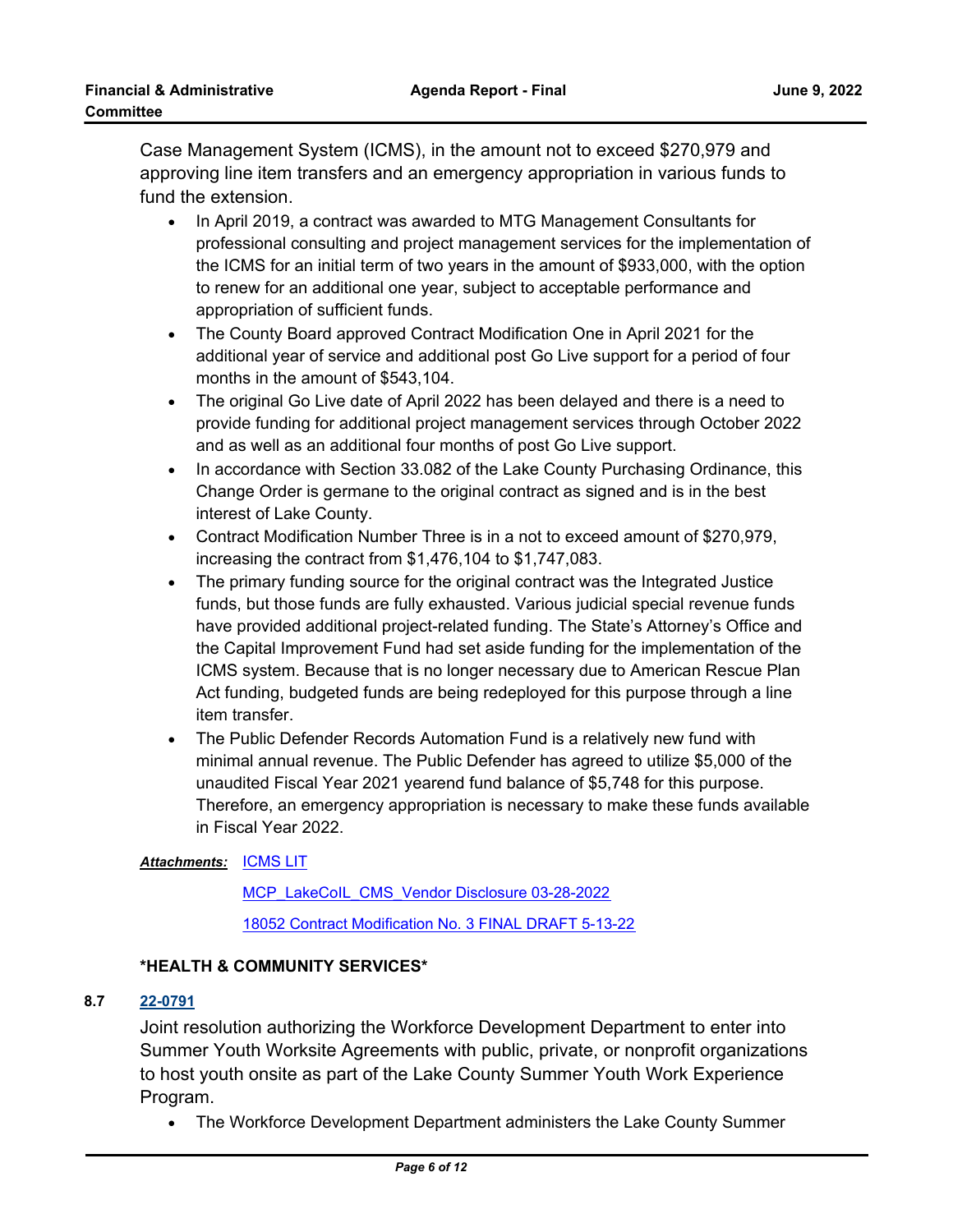Case Management System (ICMS), in the amount not to exceed \$270,979 and approving line item transfers and an emergency appropriation in various funds to fund the extension.

- · In April 2019, a contract was awarded to MTG Management Consultants for professional consulting and project management services for the implementation of the ICMS for an initial term of two years in the amount of \$933,000, with the option to renew for an additional one year, subject to acceptable performance and appropriation of sufficient funds.
- · The County Board approved Contract Modification One in April 2021 for the additional year of service and additional post Go Live support for a period of four months in the amount of \$543,104.
- · The original Go Live date of April 2022 has been delayed and there is a need to provide funding for additional project management services through October 2022 and as well as an additional four months of post Go Live support.
- · In accordance with Section 33.082 of the Lake County Purchasing Ordinance, this Change Order is germane to the original contract as signed and is in the best interest of Lake County.
- · Contract Modification Number Three is in a not to exceed amount of \$270,979, increasing the contract from \$1,476,104 to \$1,747,083.
- · The primary funding source for the original contract was the Integrated Justice funds, but those funds are fully exhausted. Various judicial special revenue funds have provided additional project-related funding. The State's Attorney's Office and the Capital Improvement Fund had set aside funding for the implementation of the ICMS system. Because that is no longer necessary due to American Rescue Plan Act funding, budgeted funds are being redeployed for this purpose through a line item transfer.
- · The Public Defender Records Automation Fund is a relatively new fund with minimal annual revenue. The Public Defender has agreed to utilize \$5,000 of the unaudited Fiscal Year 2021 yearend fund balance of \$5,748 for this purpose. Therefore, an emergency appropriation is necessary to make these funds available in Fiscal Year 2022.

# <u>Attachments: [ICMS LIT](http://lakecounty.legistar.com/gateway.aspx?M=F&ID=2a1be11d-3f84-44ce-87e6-93efb577e41a.pdf)</u>

[MCP\\_LakeCoIL\\_CMS\\_Vendor Disclosure 03-28-2022](http://lakecounty.legistar.com/gateway.aspx?M=F&ID=73b48b2f-738d-4e9b-9fbb-65b92e789f92.pdf) [18052 Contract Modification No. 3 FINAL DRAFT 5-13-22](http://lakecounty.legistar.com/gateway.aspx?M=F&ID=a6f25521-7db4-470c-a4d1-1ded1f7f46fd.pdf)

# **\*HEALTH & COMMUNITY SERVICES\***

# **8.7 [22-0791](http://lakecounty.legistar.com/gateway.aspx?m=l&id=/matter.aspx?key=26577)**

Joint resolution authorizing the Workforce Development Department to enter into Summer Youth Worksite Agreements with public, private, or nonprofit organizations to host youth onsite as part of the Lake County Summer Youth Work Experience Program.

· The Workforce Development Department administers the Lake County Summer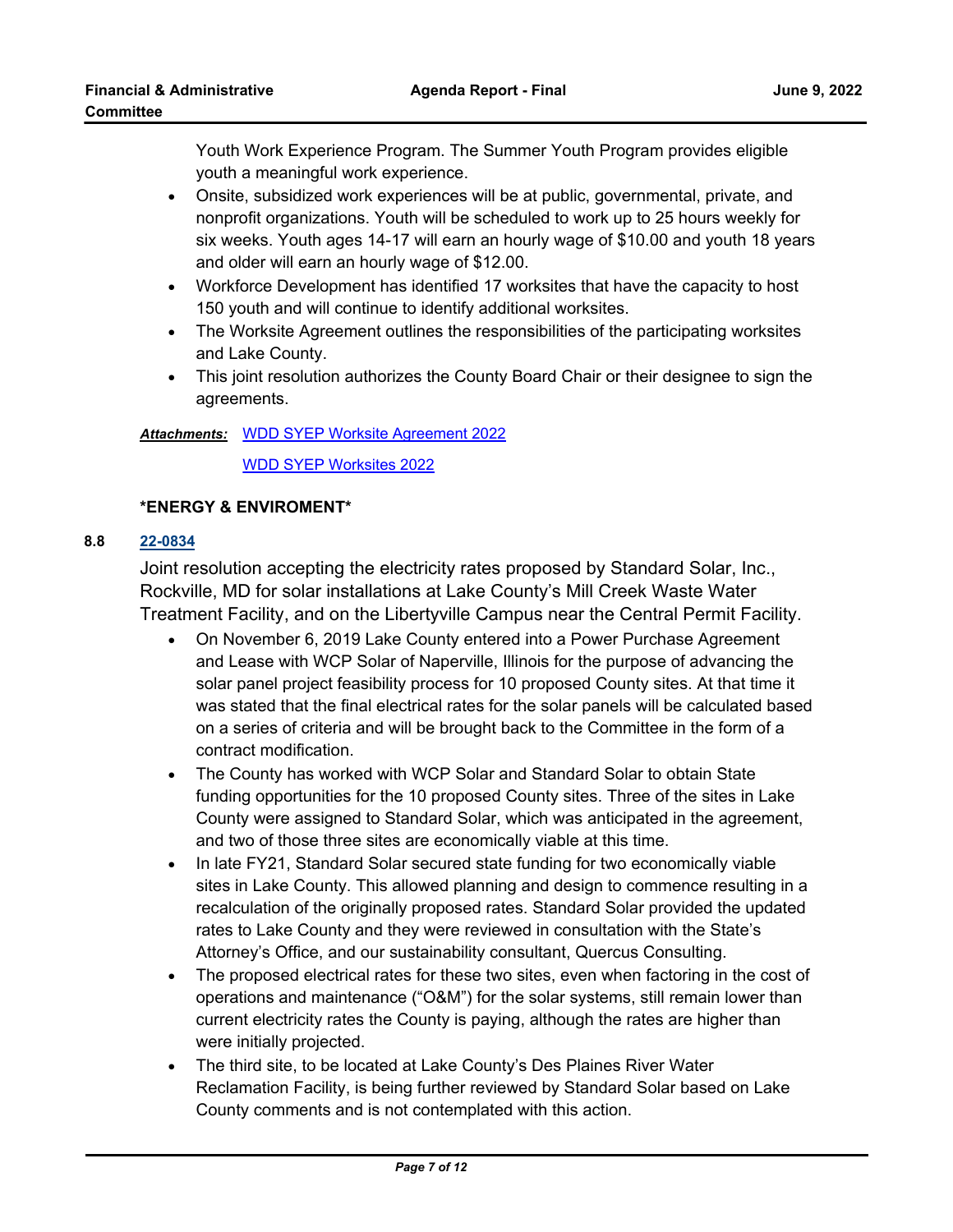Youth Work Experience Program. The Summer Youth Program provides eligible youth a meaningful work experience.

- · Onsite, subsidized work experiences will be at public, governmental, private, and nonprofit organizations. Youth will be scheduled to work up to 25 hours weekly for six weeks. Youth ages 14-17 will earn an hourly wage of \$10.00 and youth 18 years and older will earn an hourly wage of \$12.00.
- · Workforce Development has identified 17 worksites that have the capacity to host 150 youth and will continue to identify additional worksites.
- · The Worksite Agreement outlines the responsibilities of the participating worksites and Lake County.
- · This joint resolution authorizes the County Board Chair or their designee to sign the agreements.

# Attachments: [WDD SYEP Worksite Agreement 2022](http://lakecounty.legistar.com/gateway.aspx?M=F&ID=97e41162-73f6-4e9b-b4b7-7552ae60c02b.pdf)

[WDD SYEP Worksites 2022](http://lakecounty.legistar.com/gateway.aspx?M=F&ID=45ddabae-f981-4c41-ad30-a83ab328306a.pdf)

# **\*ENERGY & ENVIROMENT\***

# **8.8 [22-0834](http://lakecounty.legistar.com/gateway.aspx?m=l&id=/matter.aspx?key=26619)**

Joint resolution accepting the electricity rates proposed by Standard Solar, Inc., Rockville, MD for solar installations at Lake County's Mill Creek Waste Water Treatment Facility, and on the Libertyville Campus near the Central Permit Facility.

- · On November 6, 2019 Lake County entered into a Power Purchase Agreement and Lease with WCP Solar of Naperville, Illinois for the purpose of advancing the solar panel project feasibility process for 10 proposed County sites. At that time it was stated that the final electrical rates for the solar panels will be calculated based on a series of criteria and will be brought back to the Committee in the form of a contract modification.
- · The County has worked with WCP Solar and Standard Solar to obtain State funding opportunities for the 10 proposed County sites. Three of the sites in Lake County were assigned to Standard Solar, which was anticipated in the agreement, and two of those three sites are economically viable at this time.
- · In late FY21, Standard Solar secured state funding for two economically viable sites in Lake County. This allowed planning and design to commence resulting in a recalculation of the originally proposed rates. Standard Solar provided the updated rates to Lake County and they were reviewed in consultation with the State's Attorney's Office, and our sustainability consultant, Quercus Consulting.
- · The proposed electrical rates for these two sites, even when factoring in the cost of operations and maintenance ("O&M") for the solar systems, still remain lower than current electricity rates the County is paying, although the rates are higher than were initially projected.
- · The third site, to be located at Lake County's Des Plaines River Water Reclamation Facility, is being further reviewed by Standard Solar based on Lake County comments and is not contemplated with this action.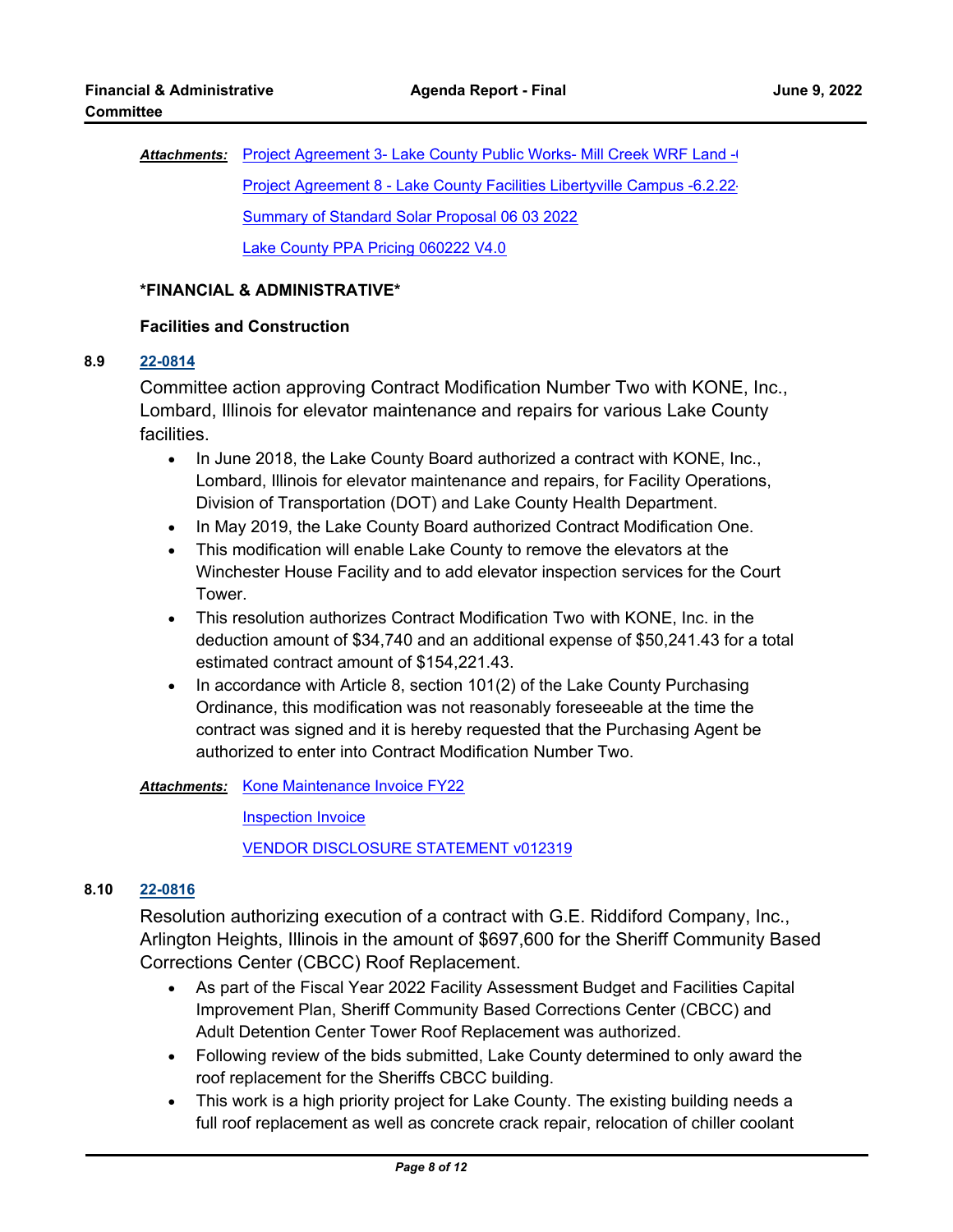Attachments: [Project Agreement 3- Lake County Public Works- Mill Creek WRF Land -6](http://lakecounty.legistar.com/gateway.aspx?M=F&ID=fa68956d-5cca-44b5-8bf3-6c1a577a4287.pdf). [Project Agreement 8 - Lake County Facilities Libertyville Campus -6.2.22-](http://lakecounty.legistar.com/gateway.aspx?M=F&ID=fc81ff4b-3f11-4c22-8f9a-d70ee7fd0733.pdf) [Summary of Standard Solar Proposal 06 03 2022](http://lakecounty.legistar.com/gateway.aspx?M=F&ID=9b056aa3-9daa-44bc-8cfd-bc43060702e7.pdf) [Lake County PPA Pricing 060222 V4.0](http://lakecounty.legistar.com/gateway.aspx?M=F&ID=f41c9ea2-8f17-4aae-9ee7-8f5615241d88.pdf)

## **\*FINANCIAL & ADMINISTRATIVE\***

## **Facilities and Construction**

#### **8.9 [22-0814](http://lakecounty.legistar.com/gateway.aspx?m=l&id=/matter.aspx?key=26600)**

Committee action approving Contract Modification Number Two with KONE, Inc., Lombard, Illinois for elevator maintenance and repairs for various Lake County facilities.

- · In June 2018, the Lake County Board authorized a contract with KONE, Inc., Lombard, Illinois for elevator maintenance and repairs, for Facility Operations, Division of Transportation (DOT) and Lake County Health Department.
- · In May 2019, the Lake County Board authorized Contract Modification One.
- · This modification will enable Lake County to remove the elevators at the Winchester House Facility and to add elevator inspection services for the Court Tower.
- · This resolution authorizes Contract Modification Two with KONE, Inc. in the deduction amount of \$34,740 and an additional expense of \$50,241.43 for a total estimated contract amount of \$154,221.43.
- · In accordance with Article 8, section 101(2) of the Lake County Purchasing Ordinance, this modification was not reasonably foreseeable at the time the contract was signed and it is hereby requested that the Purchasing Agent be authorized to enter into Contract Modification Number Two.

# **Attachments: [Kone Maintenance Invoice FY22](http://lakecounty.legistar.com/gateway.aspx?M=F&ID=710dc2d2-e6ca-40ae-a909-ce0a22566c68.pdf)**

[Inspection Invoice](http://lakecounty.legistar.com/gateway.aspx?M=F&ID=7cf4e632-907a-4f9e-906d-ade37ae074d2.pdf) [VENDOR DISCLOSURE STATEMENT v012319](http://lakecounty.legistar.com/gateway.aspx?M=F&ID=f7900683-4308-4ef2-950f-7db2303a1150.pdf)

# **8.10 [22-0816](http://lakecounty.legistar.com/gateway.aspx?m=l&id=/matter.aspx?key=26602)**

Resolution authorizing execution of a contract with G.E. Riddiford Company, Inc., Arlington Heights, Illinois in the amount of \$697,600 for the Sheriff Community Based Corrections Center (CBCC) Roof Replacement.

- · As part of the Fiscal Year 2022 Facility Assessment Budget and Facilities Capital Improvement Plan, Sheriff Community Based Corrections Center (CBCC) and Adult Detention Center Tower Roof Replacement was authorized.
- · Following review of the bids submitted, Lake County determined to only award the roof replacement for the Sheriffs CBCC building.
- · This work is a high priority project for Lake County. The existing building needs a full roof replacement as well as concrete crack repair, relocation of chiller coolant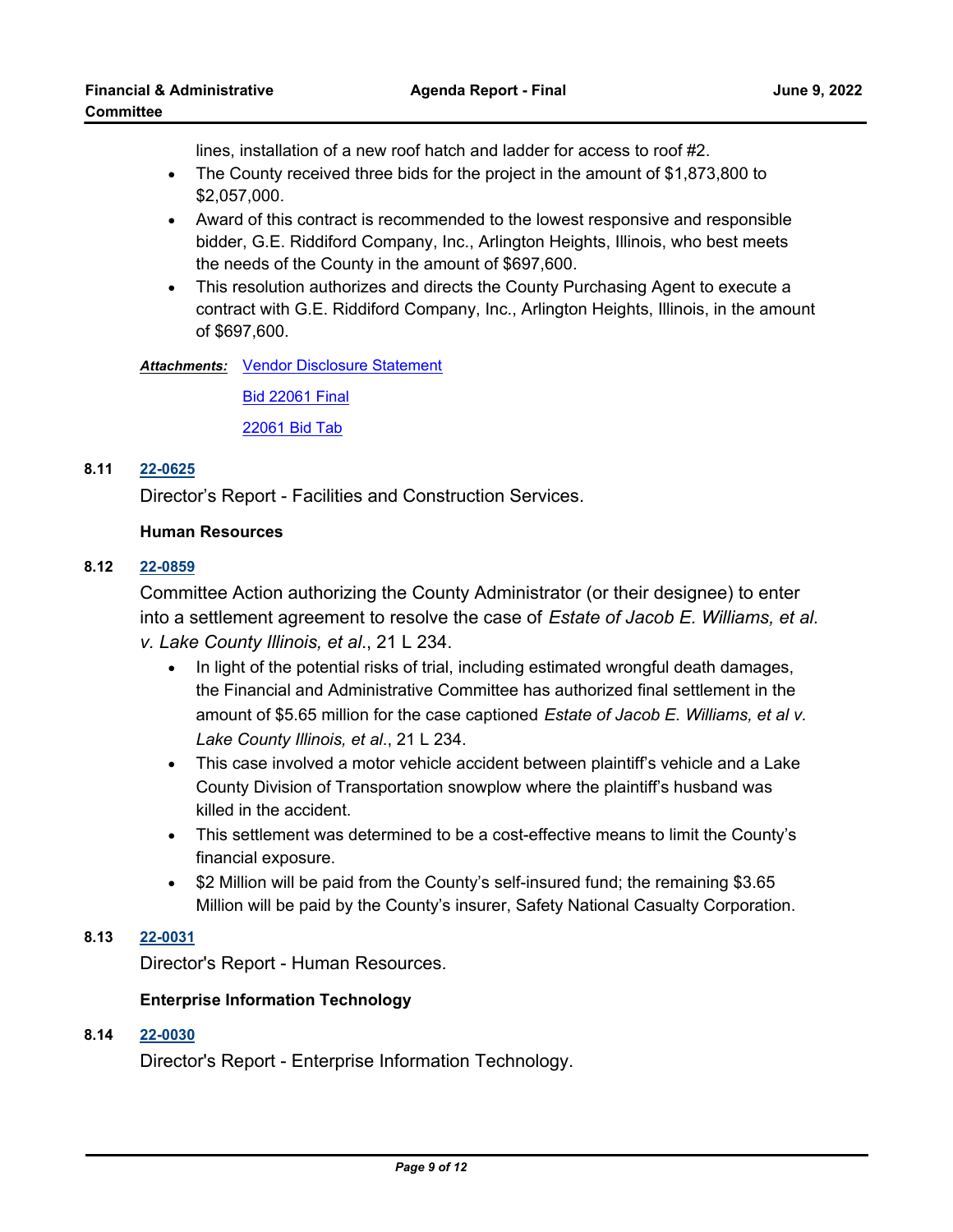lines, installation of a new roof hatch and ladder for access to roof #2.

- · The County received three bids for the project in the amount of \$1,873,800 to \$2,057,000.
- · Award of this contract is recommended to the lowest responsive and responsible bidder, G.E. Riddiford Company, Inc., Arlington Heights, Illinois, who best meets the needs of the County in the amount of \$697,600.
- · This resolution authorizes and directs the County Purchasing Agent to execute a contract with G.E. Riddiford Company, Inc., Arlington Heights, Illinois, in the amount of \$697,600.

**Attachments: [Vendor Disclosure Statement](http://lakecounty.legistar.com/gateway.aspx?M=F&ID=9891baf8-be53-4f89-a613-56cc001508f1.pdf)** 

[Bid 22061 Final](http://lakecounty.legistar.com/gateway.aspx?M=F&ID=af0c7b33-7efb-43d6-a982-5c54e2fcf9e6.pdf)

[22061 Bid Tab](http://lakecounty.legistar.com/gateway.aspx?M=F&ID=4037ae4f-b376-42e4-9878-287d02f18d69.pdf)

# **8.11 [22-0625](http://lakecounty.legistar.com/gateway.aspx?m=l&id=/matter.aspx?key=26412)**

Director's Report - Facilities and Construction Services.

# **Human Resources**

# **8.12 [22-0859](http://lakecounty.legistar.com/gateway.aspx?m=l&id=/matter.aspx?key=26645)**

Committee Action authorizing the County Administrator (or their designee) to enter into a settlement agreement to resolve the case of *Estate of Jacob E. Williams, et al. v. Lake County Illinois, et al*., 21 L 234.

- · In light of the potential risks of trial, including estimated wrongful death damages, the Financial and Administrative Committee has authorized final settlement in the amount of \$5.65 million for the case captioned *Estate of Jacob E. Williams, et al v. Lake County Illinois, et al*., 21 L 234.
- · This case involved a motor vehicle accident between plaintiff's vehicle and a Lake County Division of Transportation snowplow where the plaintiff's husband was killed in the accident.
- · This settlement was determined to be a cost-effective means to limit the County's financial exposure.
- · \$2 Million will be paid from the County's self-insured fund; the remaining \$3.65 Million will be paid by the County's insurer, Safety National Casualty Corporation.

# **8.13 [22-0031](http://lakecounty.legistar.com/gateway.aspx?m=l&id=/matter.aspx?key=25813)**

Director's Report - Human Resources.

# **Enterprise Information Technology**

# **8.14 [22-0030](http://lakecounty.legistar.com/gateway.aspx?m=l&id=/matter.aspx?key=25812)**

Director's Report - Enterprise Information Technology.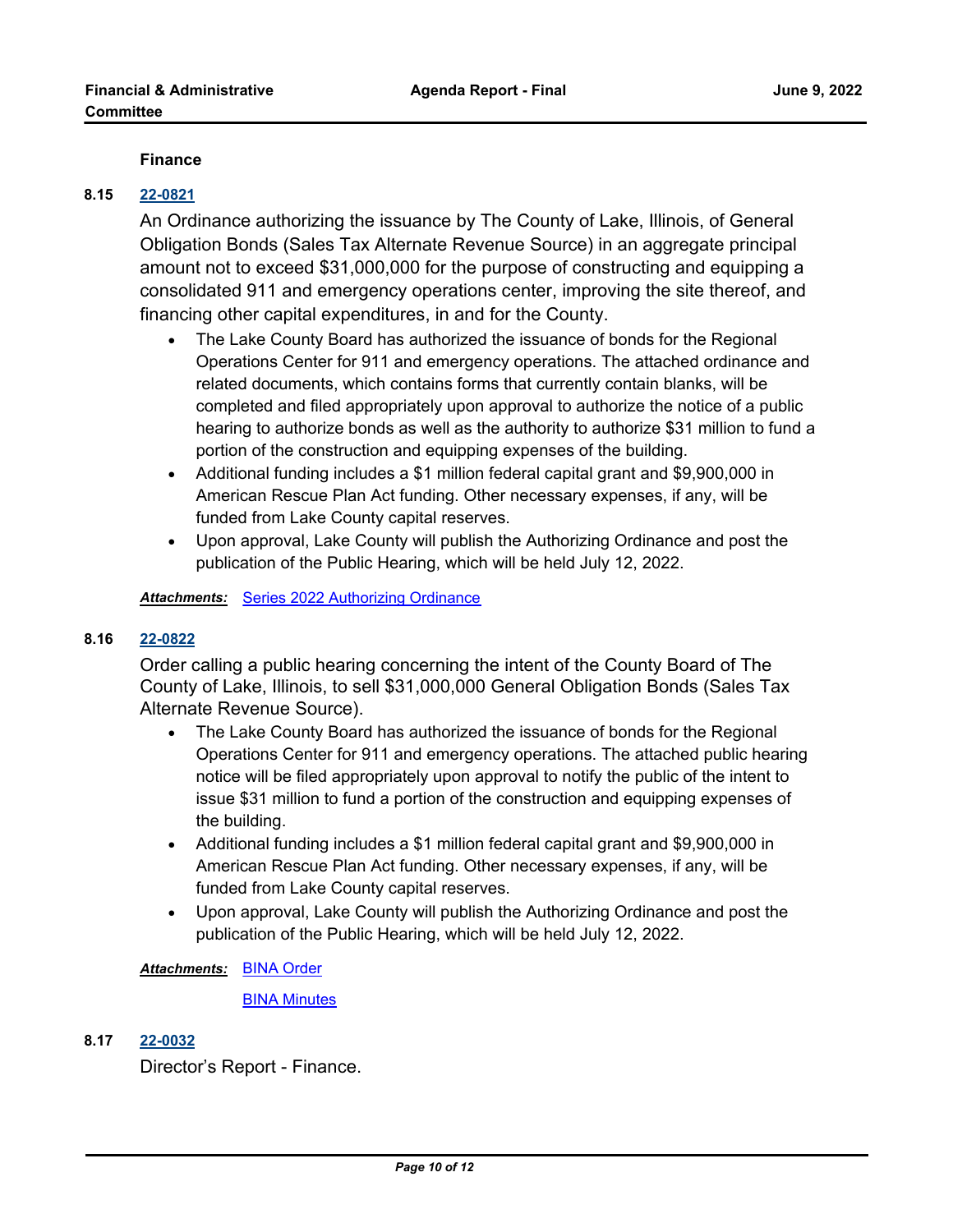## **Finance**

# **8.15 [22-0821](http://lakecounty.legistar.com/gateway.aspx?m=l&id=/matter.aspx?key=26607)**

An Ordinance authorizing the issuance by The County of Lake, Illinois, of General Obligation Bonds (Sales Tax Alternate Revenue Source) in an aggregate principal amount not to exceed \$31,000,000 for the purpose of constructing and equipping a consolidated 911 and emergency operations center, improving the site thereof, and financing other capital expenditures, in and for the County.

- · The Lake County Board has authorized the issuance of bonds for the Regional Operations Center for 911 and emergency operations. The attached ordinance and related documents, which contains forms that currently contain blanks, will be completed and filed appropriately upon approval to authorize the notice of a public hearing to authorize bonds as well as the authority to authorize \$31 million to fund a portion of the construction and equipping expenses of the building.
- · Additional funding includes a \$1 million federal capital grant and \$9,900,000 in American Rescue Plan Act funding. Other necessary expenses, if any, will be funded from Lake County capital reserves.
- · Upon approval, Lake County will publish the Authorizing Ordinance and post the publication of the Public Hearing, which will be held July 12, 2022.

*Attachments:* [Series 2022 Authorizing Ordinance](http://lakecounty.legistar.com/gateway.aspx?M=F&ID=e92277f1-c423-4737-8135-a63b4ccceaef.pdf)

## **8.16 [22-0822](http://lakecounty.legistar.com/gateway.aspx?m=l&id=/matter.aspx?key=26608)**

Order calling a public hearing concerning the intent of the County Board of The County of Lake, Illinois, to sell \$31,000,000 General Obligation Bonds (Sales Tax Alternate Revenue Source).

- · The Lake County Board has authorized the issuance of bonds for the Regional Operations Center for 911 and emergency operations. The attached public hearing notice will be filed appropriately upon approval to notify the public of the intent to issue \$31 million to fund a portion of the construction and equipping expenses of the building.
- · Additional funding includes a \$1 million federal capital grant and \$9,900,000 in American Rescue Plan Act funding. Other necessary expenses, if any, will be funded from Lake County capital reserves.
- · Upon approval, Lake County will publish the Authorizing Ordinance and post the publication of the Public Hearing, which will be held July 12, 2022.

[BINA Order](http://lakecounty.legistar.com/gateway.aspx?M=F&ID=7f8a51b4-7ddd-46c5-a61c-f97424685ada.pdf) *Attachments:*

**[BINA Minutes](http://lakecounty.legistar.com/gateway.aspx?M=F&ID=0e4a0980-b60c-422b-8e60-0b6a9492bd4d.pdf)** 

#### **8.17 [22-0032](http://lakecounty.legistar.com/gateway.aspx?m=l&id=/matter.aspx?key=25814)**

Director's Report - Finance.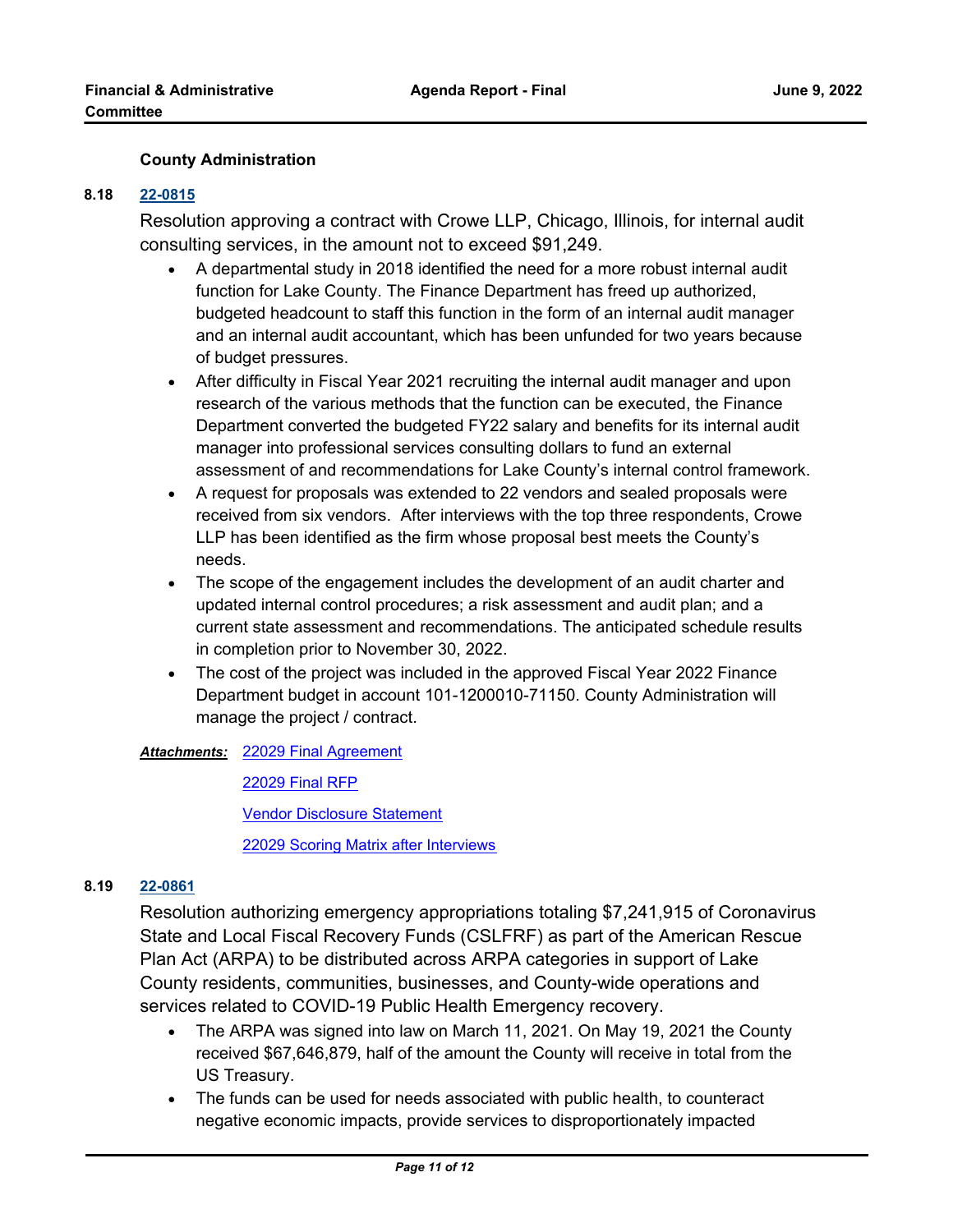## **County Administration**

#### **8.18 [22-0815](http://lakecounty.legistar.com/gateway.aspx?m=l&id=/matter.aspx?key=26601)**

Resolution approving a contract with Crowe LLP, Chicago, Illinois, for internal audit consulting services, in the amount not to exceed \$91,249.

- · A departmental study in 2018 identified the need for a more robust internal audit function for Lake County. The Finance Department has freed up authorized, budgeted headcount to staff this function in the form of an internal audit manager and an internal audit accountant, which has been unfunded for two years because of budget pressures.
- · After difficulty in Fiscal Year 2021 recruiting the internal audit manager and upon research of the various methods that the function can be executed, the Finance Department converted the budgeted FY22 salary and benefits for its internal audit manager into professional services consulting dollars to fund an external assessment of and recommendations for Lake County's internal control framework.
- · A request for proposals was extended to 22 vendors and sealed proposals were received from six vendors. After interviews with the top three respondents, Crowe LLP has been identified as the firm whose proposal best meets the County's needs.
- · The scope of the engagement includes the development of an audit charter and updated internal control procedures; a risk assessment and audit plan; and a current state assessment and recommendations. The anticipated schedule results in completion prior to November 30, 2022.
- · The cost of the project was included in the approved Fiscal Year 2022 Finance Department budget in account 101-1200010-71150. County Administration will manage the project / contract.

[22029 Final Agreement](http://lakecounty.legistar.com/gateway.aspx?M=F&ID=51478583-7e69-4aea-8db7-d5b8cd2bf167.pdf) *Attachments:*

[22029 Final RFP](http://lakecounty.legistar.com/gateway.aspx?M=F&ID=6f738b79-584c-4c65-8d62-1526028d8b7d.pdf)

[Vendor Disclosure Statement](http://lakecounty.legistar.com/gateway.aspx?M=F&ID=a6e4ddcb-284b-46be-b531-d6ecdd5b3ecf.pdf)

[22029 Scoring Matrix after Interviews](http://lakecounty.legistar.com/gateway.aspx?M=F&ID=2c132533-e82a-4c5f-b8c5-d1127315303b.pdf)

## **8.19 [22-0861](http://lakecounty.legistar.com/gateway.aspx?m=l&id=/matter.aspx?key=26647)**

Resolution authorizing emergency appropriations totaling \$7,241,915 of Coronavirus State and Local Fiscal Recovery Funds (CSLFRF) as part of the American Rescue Plan Act (ARPA) to be distributed across ARPA categories in support of Lake County residents, communities, businesses, and County-wide operations and services related to COVID-19 Public Health Emergency recovery.

- The ARPA was signed into law on March 11, 2021. On May 19, 2021 the County received \$67,646,879, half of the amount the County will receive in total from the US Treasury.
- · The funds can be used for needs associated with public health, to counteract negative economic impacts, provide services to disproportionately impacted